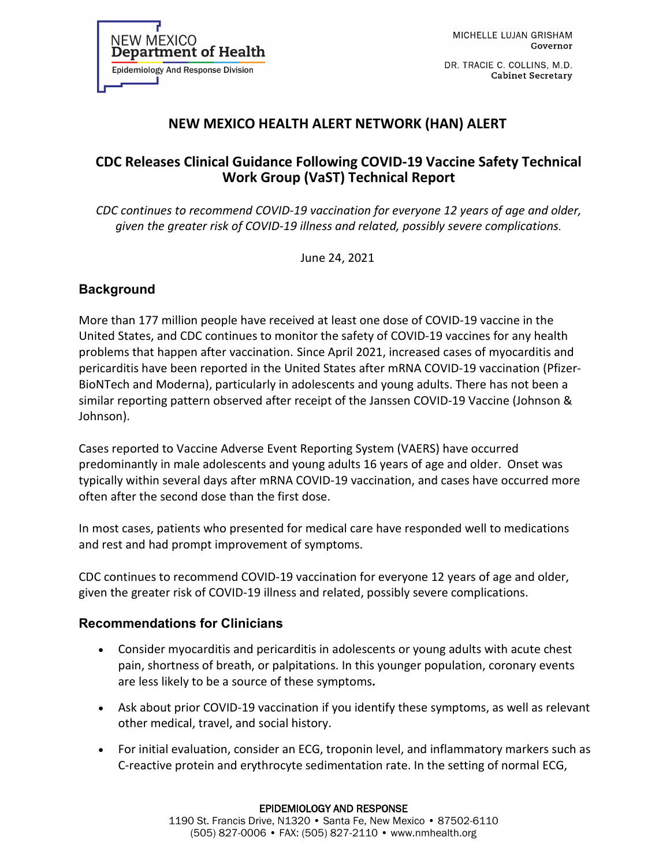DR. TRACIE C. COLLINS, M.D. **Cabinet Secretary** 

# **NEW MEXICO HEALTH ALERT NETWORK (HAN) ALERT**

## **CDC Releases Clinical Guidance Following COVID-19 Vaccine Safety Technical Work Group (VaST) Technical Report**

*CDC continues to recommend COVID-19 vaccination for everyone 12 years of age and older, given the greater risk of COVID-19 illness and related, possibly severe complications.*

June 24, 2021

### **Background**

More than 177 million people have received at least one dose of COVID-19 vaccine in the United States, and CDC continues to monitor the safety of COVID-19 vaccines for any health problems that happen after vaccination. Since April 2021, increased cases of myocarditis and pericarditis have been reported in the United States after mRNA COVID-19 vaccination (Pfizer-BioNTech and Moderna), particularly in adolescents and young adults. There has not been a similar reporting pattern observed after receipt of the Janssen COVID-19 Vaccine (Johnson & Johnson).

Cases reported to Vaccine Adverse Event Reporting System (VAERS) have occurred predominantly in male adolescents and young adults 16 years of age and older. Onset was typically within several days after mRNA COVID-19 vaccination, and cases have occurred more often after the second dose than the first dose.

In most cases, patients who presented for medical care have responded well to medications and rest and had prompt improvement of symptoms.

CDC continues to recommend COVID-19 vaccination for everyone 12 years of age and older, given the greater risk of COVID-19 illness and related, possibly severe complications.

#### **Recommendations for Clinicians**

- Consider myocarditis and pericarditis in adolescents or young adults with acute chest pain, shortness of breath, or palpitations. In this younger population, coronary events are less likely to be a source of these symptoms**.**
- Ask about prior COVID-19 vaccination if you identify these symptoms, as well as relevant other medical, travel, and social history.
- For initial evaluation, consider an ECG, troponin level, and inflammatory markers such as C-reactive protein and erythrocyte sedimentation rate. In the setting of normal ECG,